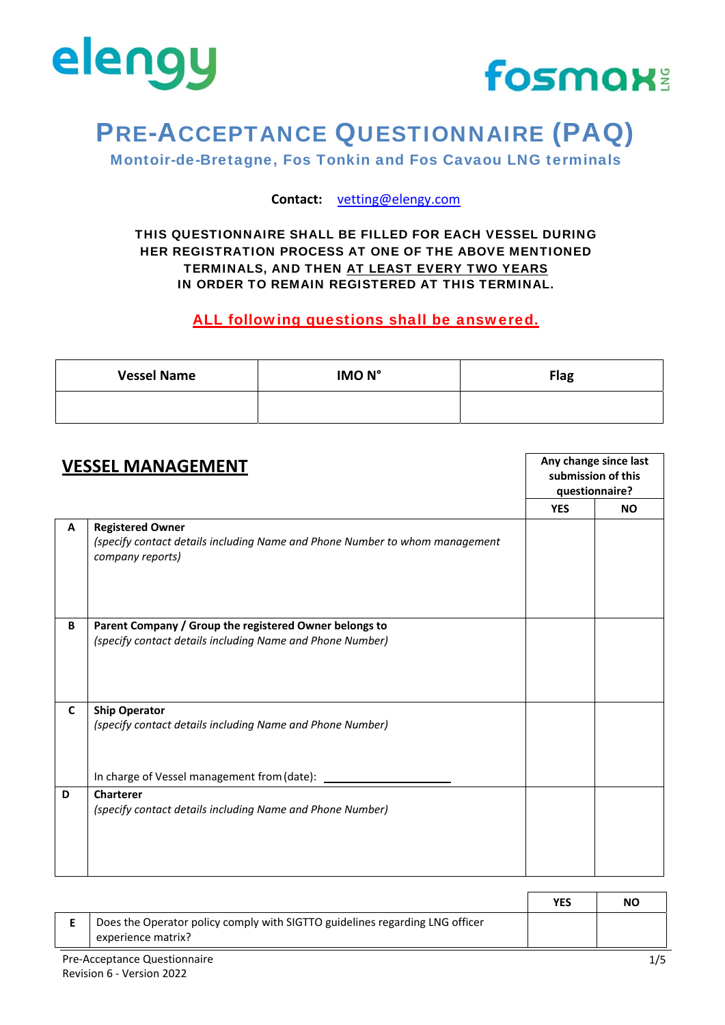



Montoir-de-Bretagne, Fos Tonkin and Fos Cavaou LNG terminals

**Contact:** vetting@elengy.com

#### THIS QUESTIONNAIRE SHALL BE FILLED FOR EACH VESSEL DURING HER REGISTRATION PROCESS AT ONE OF THE ABOVE MENTIONED TERMINALS, AND THEN AT LEAST EVERY TWO YEARS IN ORDER TO REMAIN REGISTERED AT THIS TERMINAL.

#### ALL following questions shall be answered.

| <b>Vessel Name</b> | IMO <sub>N</sub> ° | <b>Flag</b> |
|--------------------|--------------------|-------------|
|                    |                    |             |

| <b>VESSEL MANAGEMENT</b> |                                                                                                                            | Any change since last<br>submission of this<br>questionnaire? |           |
|--------------------------|----------------------------------------------------------------------------------------------------------------------------|---------------------------------------------------------------|-----------|
|                          |                                                                                                                            | <b>YES</b>                                                    | <b>NO</b> |
| A                        | <b>Registered Owner</b><br>(specify contact details including Name and Phone Number to whom management<br>company reports) |                                                               |           |
| B                        | Parent Company / Group the registered Owner belongs to<br>(specify contact details including Name and Phone Number)        |                                                               |           |
| C                        | <b>Ship Operator</b><br>(specify contact details including Name and Phone Number)                                          |                                                               |           |
|                          | In charge of Vessel management from (date):                                                                                |                                                               |           |
| D                        | <b>Charterer</b><br>(specify contact details including Name and Phone Number)                                              |                                                               |           |

|        |                                                                                                    | <b>YES</b> | NO            |
|--------|----------------------------------------------------------------------------------------------------|------------|---------------|
|        | Does the Operator policy comply with SIGTTO guidelines regarding LNG officer<br>experience matrix? |            |               |
| $\sim$ |                                                                                                    |            | $\sim$ $\sim$ |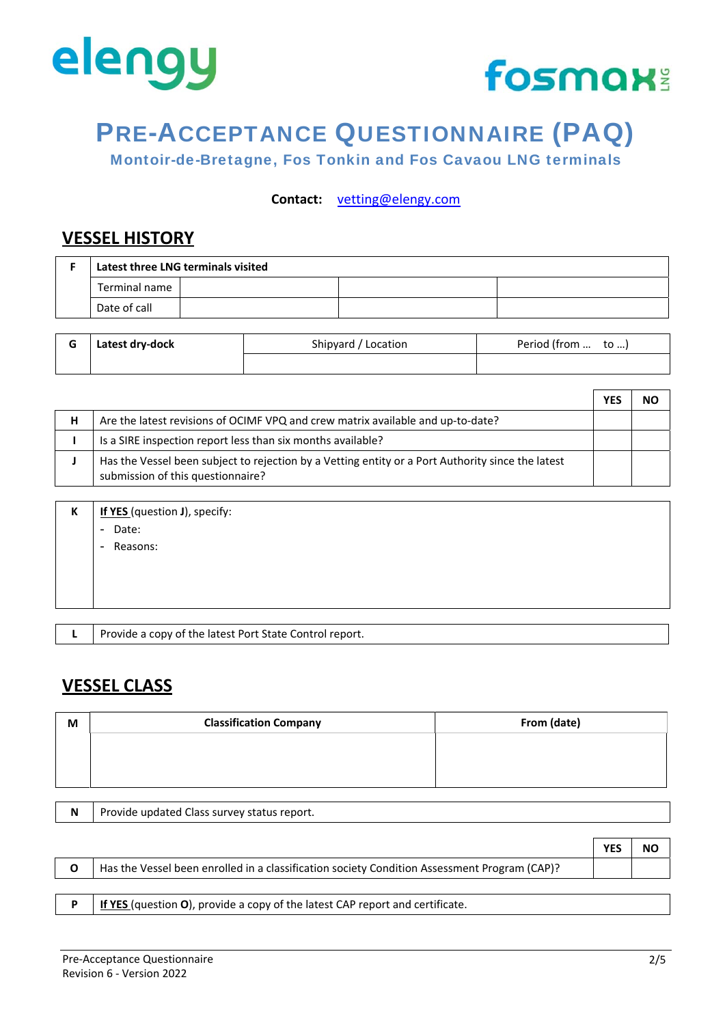



Montoir-de-Bretagne, Fos Tonkin and Fos Cavaou LNG terminals

**Contact:** vetting@elengy.com

### **VESSEL HISTORY**

| Latest three LNG terminals visited |  |  |  |
|------------------------------------|--|--|--|
| Terminal name                      |  |  |  |
| Date of call                       |  |  |  |

| G | Latest dry-dock | Shipyard / Location | Period (from  to ) |
|---|-----------------|---------------------|--------------------|
|   |                 |                     |                    |

| Has the Vessel been subject to rejection by a Vetting entity or a Port Authority since the latest |  |
|---------------------------------------------------------------------------------------------------|--|
|                                                                                                   |  |

| К | If YES (question J), specify: |
|---|-------------------------------|
|   | - Date:                       |
|   | Reasons:<br>$\blacksquare$    |
|   |                               |
|   |                               |
|   |                               |
|   |                               |

**L** Provide a copy of the latest Port State Control report.

### **VESSEL CLASS**

| M | <b>Classification Company</b>               | From (date) |
|---|---------------------------------------------|-------------|
|   |                                             |             |
|   |                                             |             |
|   |                                             |             |
| N | Provide updated Class survey status report. |             |

|   |                                                                                              | <b>YES</b> | NO |
|---|----------------------------------------------------------------------------------------------|------------|----|
| O | Has the Vessel been enrolled in a classification society Condition Assessment Program (CAP)? |            |    |
|   |                                                                                              |            |    |
|   | If YES (question O), provide a copy of the latest CAP report and certificate.                |            |    |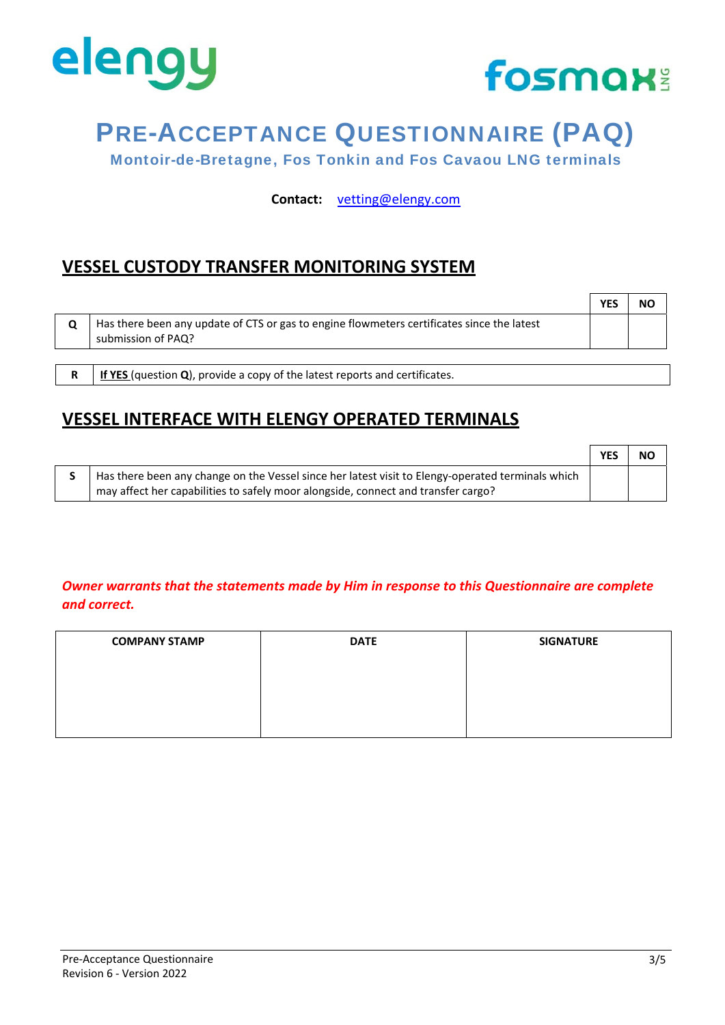



Montoir-de-Bretagne, Fos Tonkin and Fos Cavaou LNG terminals

**Contact:** vetting@elengy.com

### **VESSEL CUSTODY TRANSFER MONITORING SYSTEM**

|                                                                                                                  | <b>YES</b> | NΟ |
|------------------------------------------------------------------------------------------------------------------|------------|----|
| Has there been any update of CTS or gas to engine flowmeters certificates since the latest<br>submission of PAQ? |            |    |
|                                                                                                                  |            |    |

**R If YES** (question **Q**), provide a copy of the latest reports and certificates.

### **VESSEL INTERFACE WITH ELENGY OPERATED TERMINALS**

|                                                                                                   | <b>YES</b> | <b>NO</b> |
|---------------------------------------------------------------------------------------------------|------------|-----------|
| Has there been any change on the Vessel since her latest visit to Elengy-operated terminals which |            |           |
| may affect her capabilities to safely moor alongside, connect and transfer cargo?                 |            |           |

#### *Owner warrants that the statements made by Him in response to this Questionnaire are complete and correct.*

| <b>COMPANY STAMP</b> | <b>DATE</b> | <b>SIGNATURE</b> |
|----------------------|-------------|------------------|
|                      |             |                  |
|                      |             |                  |
|                      |             |                  |
|                      |             |                  |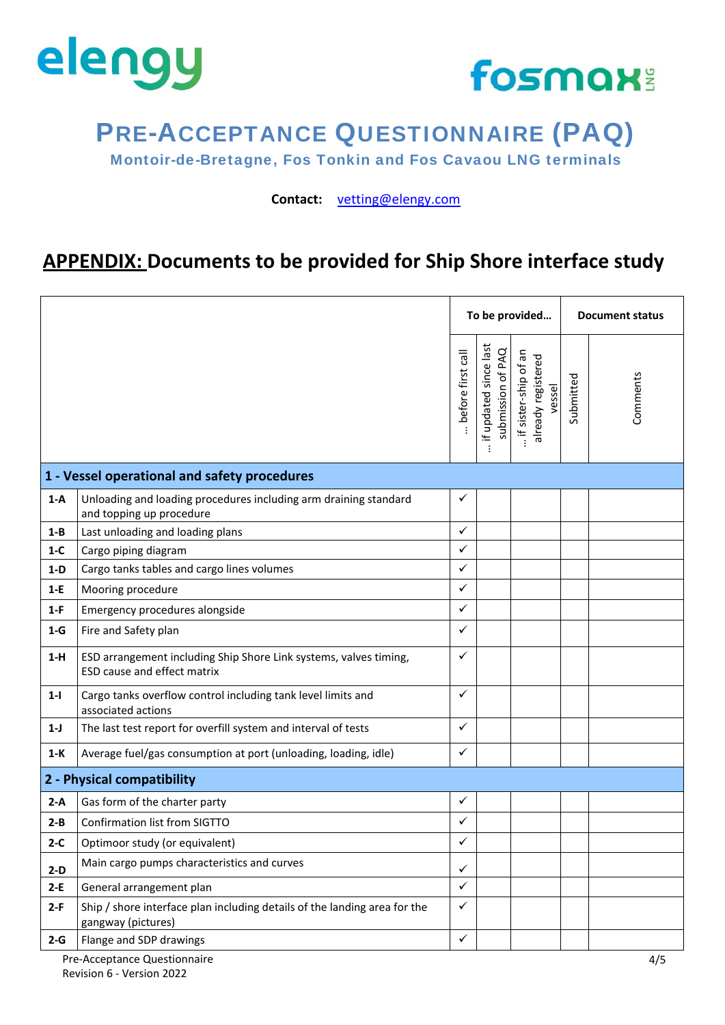



Montoir-de-Bretagne, Fos Tonkin and Fos Cavaou LNG terminals

**Contact:** vetting@elengy.com

### **APPENDIX: Documents to be provided for Ship Shore interface study**

|                                                                                                           | . before first call |                                                        |                                                      |           |          |  |  |
|-----------------------------------------------------------------------------------------------------------|---------------------|--------------------------------------------------------|------------------------------------------------------|-----------|----------|--|--|
|                                                                                                           |                     | if updated since last<br>submission of PAQ<br>$\vdots$ | if sister-ship of an<br>already registered<br>vessel | Submitted | Comments |  |  |
| 1 - Vessel operational and safety procedures                                                              |                     |                                                        |                                                      |           |          |  |  |
| Unloading and loading procedures including arm draining standard<br>$1-A$<br>and topping up procedure     | ✓                   |                                                        |                                                      |           |          |  |  |
| Last unloading and loading plans<br>$1 - B$                                                               | $\checkmark$        |                                                        |                                                      |           |          |  |  |
| $1-C$<br>Cargo piping diagram                                                                             | $\checkmark$        |                                                        |                                                      |           |          |  |  |
| Cargo tanks tables and cargo lines volumes<br>$1-D$                                                       | $\checkmark$        |                                                        |                                                      |           |          |  |  |
| $1-E$<br>Mooring procedure                                                                                | $\checkmark$        |                                                        |                                                      |           |          |  |  |
| Emergency procedures alongside<br>$1-F$                                                                   | ✓                   |                                                        |                                                      |           |          |  |  |
| $1-G$<br>Fire and Safety plan                                                                             | $\checkmark$        |                                                        |                                                      |           |          |  |  |
| ESD arrangement including Ship Shore Link systems, valves timing,<br>$1-H$<br>ESD cause and effect matrix | $\checkmark$        |                                                        |                                                      |           |          |  |  |
| $1 - 1$<br>Cargo tanks overflow control including tank level limits and<br>associated actions             | ✓                   |                                                        |                                                      |           |          |  |  |
| The last test report for overfill system and interval of tests<br>$1-J$                                   | $\checkmark$        |                                                        |                                                      |           |          |  |  |
| Average fuel/gas consumption at port (unloading, loading, idle)<br>$1-K$                                  | $\checkmark$        |                                                        |                                                      |           |          |  |  |
| 2 - Physical compatibility                                                                                |                     |                                                        |                                                      |           |          |  |  |
| Gas form of the charter party<br>$2-A$                                                                    | $\checkmark$        |                                                        |                                                      |           |          |  |  |
| Confirmation list from SIGTTO<br>$2 - B$                                                                  | $\checkmark$        |                                                        |                                                      |           |          |  |  |
| $2-C$<br>Optimoor study (or equivalent)                                                                   | ✓                   |                                                        |                                                      |           |          |  |  |
| Main cargo pumps characteristics and curves<br>$2-D$                                                      | $\checkmark$        |                                                        |                                                      |           |          |  |  |
| $2-E$<br>General arrangement plan                                                                         | $\checkmark$        |                                                        |                                                      |           |          |  |  |
| Ship / shore interface plan including details of the landing area for the<br>$2-F$<br>gangway (pictures)  | $\checkmark$        |                                                        |                                                      |           |          |  |  |
| Flange and SDP drawings<br>$2-G$                                                                          | $\checkmark$        |                                                        |                                                      |           |          |  |  |

Pre‐Acceptance Questionnaire Revision 6 ‐ Version 2022